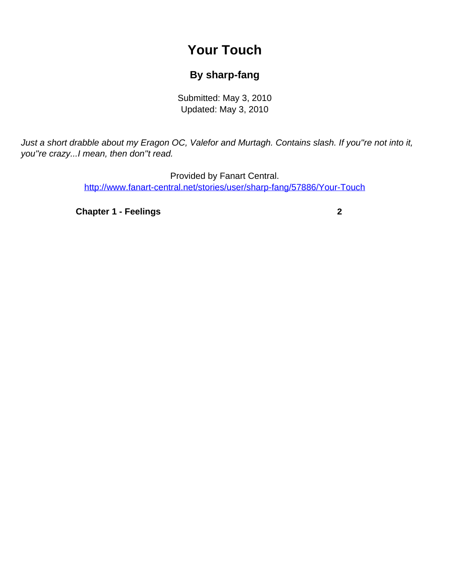## **Your Touch**

## **By sharp-fang**

Submitted: May 3, 2010 Updated: May 3, 2010

<span id="page-0-0"></span>Just a short drabble about my Eragon OC, Valefor and Murtagh. Contains slash. If you''re not into it, you''re crazy...I mean, then don''t read.

> Provided by Fanart Central. [http://www.fanart-central.net/stories/user/sharp-fang/57886/Your-Touch](#page-0-0)

**[Chapter 1 - Feelings](#page-1-0)** [2](#page-1-0)